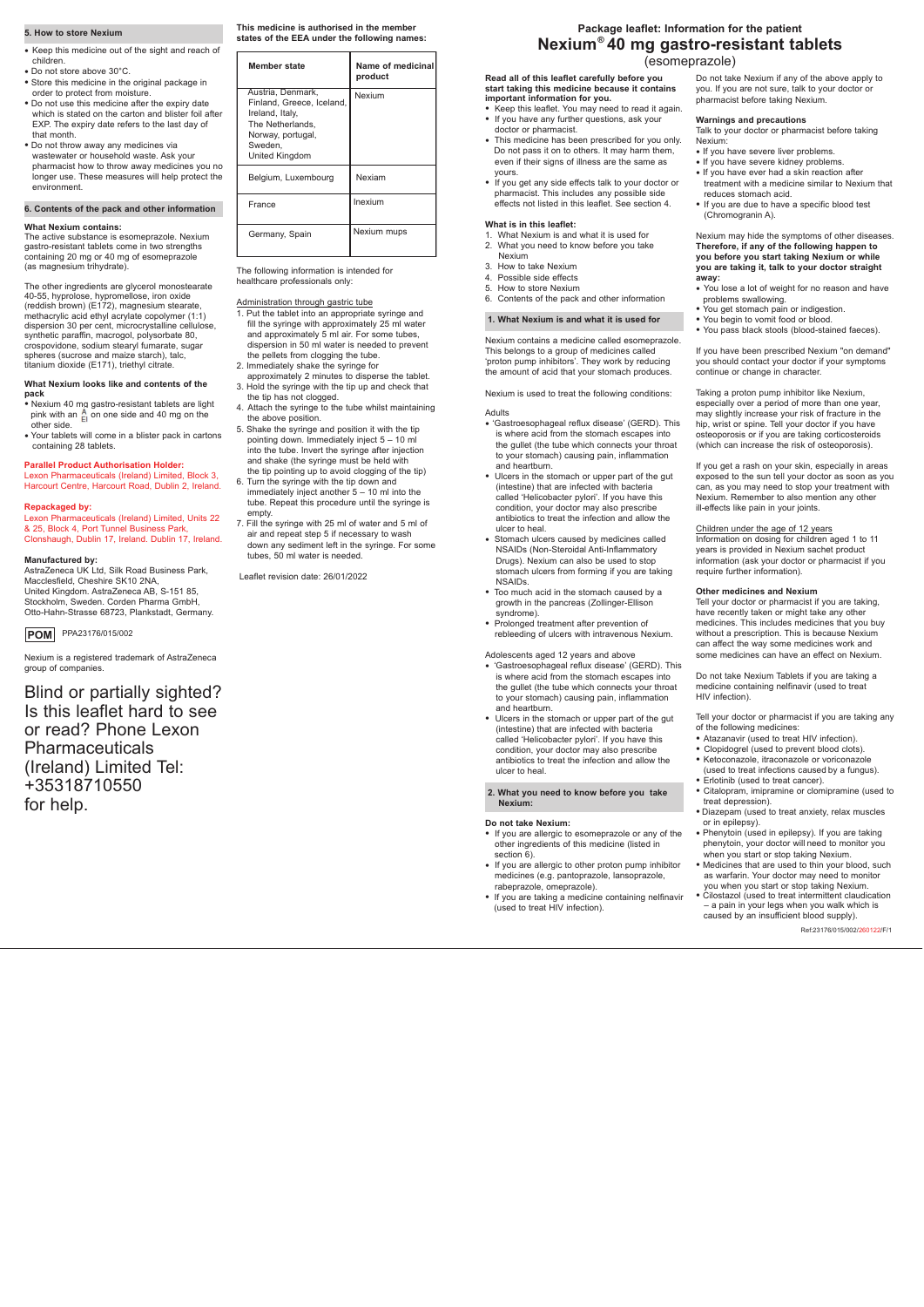## **5. How to store Nexium**

- Keep this medicine out of the sight and reach of children.
- Do not store above 30°C.
- Store this medicine in the original package in order to protect from moisture.
- Do not use this medicine after the expiry date which is stated on the carton and blister foil after EXP. The expiry date refers to the last day of
- that month. • Do not throw away any medicines via wastewater or household waste. Ask your pharmacist how to throw away medicines you no longer use. These measures will help protect the environment.

#### **6. Contents of the pack and other information**

### **What Nexium contains:**

The active substance is esomeprazole. Nexium gastro-resistant tablets come in two strengths containing 20 mg or 40 mg of esomeprazole (as magnesium trihydrate).

The other ingredients are glycerol monostearate 40-55, hyprolose, hypromellose, iron oxide (reddish brown) (E172), magnesium stearate, methacrylic acid ethyl acrylate copolymer (1:1) dispersion 30 per cent, microcrystalline cellulose, synthetic paraffin, macrogol, polysorbate 80, crospovidone, sodium stearyl fumarate, sugar spheres (sucrose and maize starch), talc, titanium dioxide (E171), triethyl citrate.

#### **What Nexium looks like and contents of the pack**

- Nexium 40 mg gastro-resistant tablets are light pink with an  $\frac{A}{E}$  on one side and 40 mg on the other side.
- Your tablets will come in a blister pack in cartons containing 28 tablets.

# **Parallel Product Authorisation Holder:**

Lexon Pharmaceuticals (Ireland) Limited, Block 3, Harcourt Centre, Harcourt Road, Dublin 2, Ireland.

#### **Repackaged by:**

Lexon Pharmaceuticals (Ireland) Limited, Units 22 & 25, Block 4, Port Tunnel Business Park, Clonshaugh, Dublin 17, Ireland. Dublin 17, Ireland.

#### **Manufactured by:**

AstraZeneca UK Ltd, Silk Road Business Park, Macclesfield, Cheshire SK10 2NA, United Kingdom. AstraZeneca AB, S-151 85, Stockholm, Sweden. Corden Pharma GmbH, Otto-Hahn-Strasse 68723, Plankstadt, Germany.

Nexium is a registered trademark of AstraZeneca group of companies.

Blind or partially sighted? Is this leaflet hard to see or read? Phone Lexon Pharmaceuticals (Ireland) Limited Tel: +35318710550 for help.

**Read all of this leaflet carefully before you start taking this medicine because it contains important information for you.**

- Keep this leaflet. You may need to read it again. • If you have any further questions, ask your
- doctor or pharmacist. • This medicine has been prescribed for you only. Do not pass it on to others. It may harm them,
- even if their signs of illness are the same as yours. • If you get any side effects talk to your doctor or
- pharmacist. This includes any possible side effects not listed in this leaflet. See section 4.

#### **What is in this leaflet:**

- 1. What Nexium is and what it is used for
- 2. What you need to know before you take Nexium
- 3. How to take Nexium
- 4. Possible side effects
- 5. How to store Nexium 6. Contents of the pack and other information
- 

# **1. What Nexium is and what it is used for**

Nexium contains a medicine called esomeprazole. This belongs to a group of medicines called 'proton pump inhibitors'. They work by reducing the amount of acid that your stomach produces.

Nexium is used to treat the following conditions:

#### Adults

- 'Gastroesophageal reflux disease' (GERD). This is where acid from the stomach escapes into the gullet (the tube which connects your throat to your stomach) causing pain, inflammation and heartburn.
- Ulcers in the stomach or upper part of the gut (intestine) that are infected with bacteria called 'Helicobacter pylori'. If you have this condition, your doctor may also prescribe antibiotics to treat the infection and allow the ulcer to heal.
- Stomach ulcers caused by medicines called NSAIDs (Non-Steroidal Anti-Inflammatory Drugs). Nexium can also be used to stop stomach ulcers from forming if you are taking **NSAIDs**
- Too much acid in the stomach caused by a growth in the pancreas (Zollinger-Ellison syndrome).
- Prolonged treatment after prevention of rebleeding of ulcers with intravenous Nexium.

#### Adolescents aged 12 years and above

- 'Gastroesophageal reflux disease' (GERD). This is where acid from the stomach escapes into the gullet (the tube which connects your throat to your stomach) causing pain, inflammation and heartburn.
- Ulcers in the stomach or upper part of the gut (intestine) that are infected with bacteria called 'Helicobacter pylori'. If you have this condition, your doctor may also prescribe antibiotics to treat the infection and allow the ulcer to heal.

#### **2. What you need to know before you take Nexium:**

# **Do not take Nexium:**

- If you are allergic to esomeprazole or any of the other ingredients of this medicine (listed in section 6).
- If you are allergic to other proton pump inhibitor medicines (e.g. pantoprazole, lansoprazole, rabeprazole, omeprazole).
- If you are taking a medicine containing nelfinavir (used to treat HIV infection).

Do not take Nexium if any of the above apply to you. If you are not sure, talk to your doctor or pharmacist before taking Nexium.

#### **Warnings and precautions**

Talk to your doctor or pharmacist before taking Nexium:

- If you have severe liver problems.
- If you have severe kidney problems.
- If you have ever had a skin reaction after treatment with a medicine similar to Nexium that reduces stomach acid.
- If you are due to have a specific blood test (Chromogranin A).

Nexium may hide the symptoms of other diseases. **Therefore, if any of the following happen to you before you start taking Nexium or while you are taking it, talk to your doctor straight away:**

PPA23176/015/002 **POM**

- You lose a lot of weight for no reason and have problems swallowing.
- You get stomach pain or indigestion.
- You begin to vomit food or blood.
- You pass black stools (blood-stained faeces).

If you have been prescribed Nexium "on demand" you should contact your doctor if your symptoms continue or change in character.

Taking a proton pump inhibitor like Nexium, especially over a period of more than one year, may slightly increase your risk of fracture in the hip, wrist or spine. Tell your doctor if you have osteoporosis or if you are taking corticosteroids (which can increase the risk of osteoporosis).

If you get a rash on your skin, especially in areas exposed to the sun tell your doctor as soon as you can, as you may need to stop your treatment with Nexium. Remember to also mention any other ill-effects like pain in your joints.

#### Children under the age of 12 years

Information on dosing for children aged 1 to 11 years is provided in Nexium sachet product information (ask your doctor or pharmacist if you require further information).

#### **Other medicines and Nexium**

Tell your doctor or pharmacist if you are taking, have recently taken or might take any other medicines. This includes medicines that you buy without a prescription. This is because Nexium can affect the way some medicines work and some medicines can have an effect on Nexium.

Do not take Nexium Tablets if you are taking a medicine containing nelfinavir (used to treat HIV infection).

Tell your doctor or pharmacist if you are taking any of the following medicines:

- Atazanavir (used to treat HIV infection).
- Clopidogrel (used to prevent blood clots).
- Ketoconazole, itraconazole or voriconazole (used to treat infections caused by a fungus).
- 
- Erlotinib (used to treat cancer).
- Citalopram, imipramine or clomipramine (used to treat depression).
- Diazepam (used to treat anxiety, relax muscles or in epilepsy).
- Phenytoin (used in epilepsy). If you are taking phenytoin, your doctor will need to monitor you when you start or stop taking Nexium.
- Medicines that are used to thin your blood, such as warfarin. Your doctor may need to monitor you when you start or stop taking Nexium. • Cilostazol (used to treat intermittent claudication
- a pain in your legs when you walk which is caused by an insufficient blood supply).

# (esomeprazole)

**This medicine is authorised in the member states of the EEA under the following names:** 

The following information is intended for healthcare professionals only:

## Administration through gastric tube

# **Package leaflet: Information for the patient Nexium 40 mg gastro-resistant tablets ®**

- 1. Put the tablet into an appropriate syringe and fill the syringe with approximately 25 ml water and approximately 5 ml air. For some tubes, dispersion in 50 ml water is needed to prevent the pellets from clogging the tube.
- 2. Immediately shake the syringe for approximately 2 minutes to disperse the tablet.
- 3. Hold the syringe with the tip up and check that the tip has not clogged.
- 4. Attach the syringe to the tube whilst maintaining the above position.
- 5. Shake the syringe and position it with the tip pointing down. Immediately inject 5 – 10 ml into the tube. Invert the syringe after injection and shake (the syringe must be held with the tip pointing up to avoid clogging of the tip)
- 6. Turn the syringe with the tip down and immediately inject another 5 – 10 ml into the tube. Repeat this procedure until the syringe is empty.
- 7. Fill the syringe with 25 ml of water and 5 ml of air and repeat step 5 if necessary to wash down any sediment left in the syringe. For some tubes, 50 ml water is needed.

Leaflet revision date: 26/01/2022

| Member state                                                                                                                            | Name of medicinal<br>product |
|-----------------------------------------------------------------------------------------------------------------------------------------|------------------------------|
| Austria, Denmark,<br>Finland, Greece, Iceland,<br>Ireland, Italy,<br>The Netherlands.<br>Norway, portugal,<br>Sweden.<br>United Kingdom | Nexium                       |
| Belgium, Luxembourg                                                                                                                     | Nexiam                       |
| France                                                                                                                                  | Inexium                      |
| Germany, Spain                                                                                                                          | Nexium mups                  |